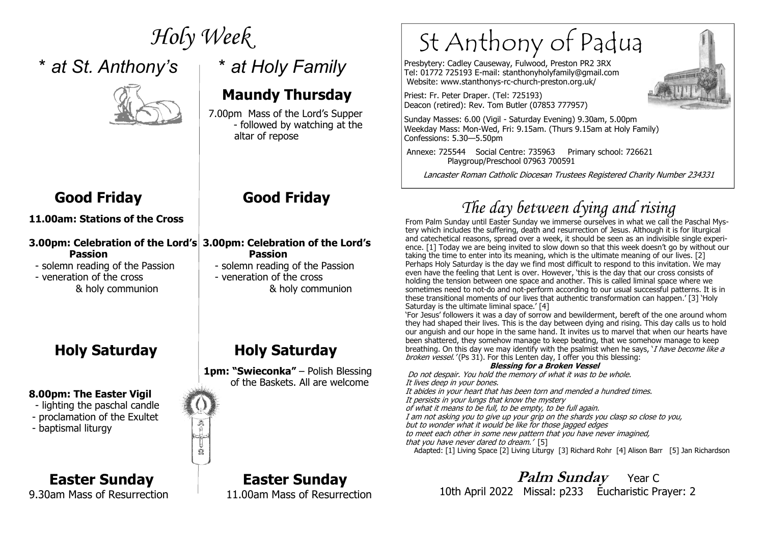## \* *at St. Anthony's* \* *at Holy Family*



### **Maundy Thursday**

 7.00pm Mass of the Lord's Supper expressed by watching at the state of the state of the state of the state of the state of the state of the state of the state of the state of the state of the state of the state of the state of the state of the state of th altar of repose

#### **11.00am: Stations of the Cross**

#### **3.00pm: Celebration of the Lord's 3.00pm: Celebration of the Lord's Passion Passion** - solemn reading of the Passion

n<br>2

*Holy Week* 

- solemn reading of the Passion

- veneration of the cross  $\parallel$  - veneration of the cross

#### **8.00pm: The Easter Vigil**

- lighting the paschal candle
- proclamation of the Exultet
- baptismal liturgy

### **Easter Sunday Easter Sunday**

9.30am Mass of Resurrection 11.00am Mass of Resurrection

### **Good Friday Good Friday**

## & holy communion & holy communion

### **Holy Saturday Holy Saturday**

1pm: "Swieconka" - Polish Blessing of the Baskets. All are welcome

# St Anthony of Padua

Presbytery: Cadley Causeway, Fulwood, Preston PR2 3RX Tel: 01772 725193 E-mail: stanthonyholyfamily@gmail.com Website: www.stanthonys-rc-church-preston.org.uk/

Priest: Fr. Peter Draper. (Tel: 725193) Deacon (retired): Rev. Tom Butler (07853 777957)

Sunday Masses: 6.00 (Vigil - Saturday Evening) 9.30am, 5.00pm Weekday Mass: Mon-Wed, Fri: 9.15am. (Thurs 9.15am at Holy Family) Confessions: 5.30—5.50pm

 Annexe: 725544 Social Centre: 735963 Primary school: 726621 Playgroup/Preschool 07963 700591

Lancaster Roman Catholic Diocesan Trustees Registered Charity Number 234331

## *The day between dying and rising*

 From Palm Sunday until Easter Sunday we immerse ourselves in what we call the Paschal Mystery which includes the suffering, death and resurrection of Jesus. Although it is for liturgical and catechetical reasons, spread over a week, it should be seen as an indivisible single experience. [1] Today we are being invited to slow down so that this week doesn't go by without our taking the time to enter into its meaning, which is the ultimate meaning of our lives. [2] Perhaps Holy Saturday is the day we find most difficult to respond to this invitation. We may even have the feeling that Lent is over. However, 'this is the day that our cross consists of holding the tension between one space and another. This is called liminal space where we sometimes need to not-do and not-perform according to our usual successful patterns. It is in these transitional moments of our lives that authentic transformation can happen.' [3] 'Holy Saturday is the ultimate liminal space.' [4]

 'For Jesus' followers it was a day of sorrow and bewilderment, bereft of the one around whom they had shaped their lives. This is the day between dying and rising. This day calls us to hold our anguish and our hope in the same hand. It invites us to marvel that when our hearts have been shattered, they somehow manage to keep beating, that we somehow manage to keep breathing. On this day we may identify with the psalmist when he says, *`I have become like a* broken vessel.' (Ps 31). For this Lenten day, I offer you this blessing:

#### **Blessing for a Broken Vessel**

 Do not despair. You hold the memory of what it was to be whole.It lives deep in your bones. It abides in your heart that has been torn and mended a hundred times. It persists in your lungs that know the mystery

of what it means to be full, to be empty, to be full again.

I am not asking you to give up your grip on the shards you clasp so close to you,

but to wonder what it would be like for those jagged edges to meet each other in some new pattern that you have never imagined,

that you have never dared to dream.' [5]

Adapted: [1] Living Space [2] Living Liturgy [3] Richard Rohr [4] Alison Barr [5] Jan Richardson

*Palm Sunday* Year C 10th April 2022 Missal: p233 Eucharistic Prayer: 2